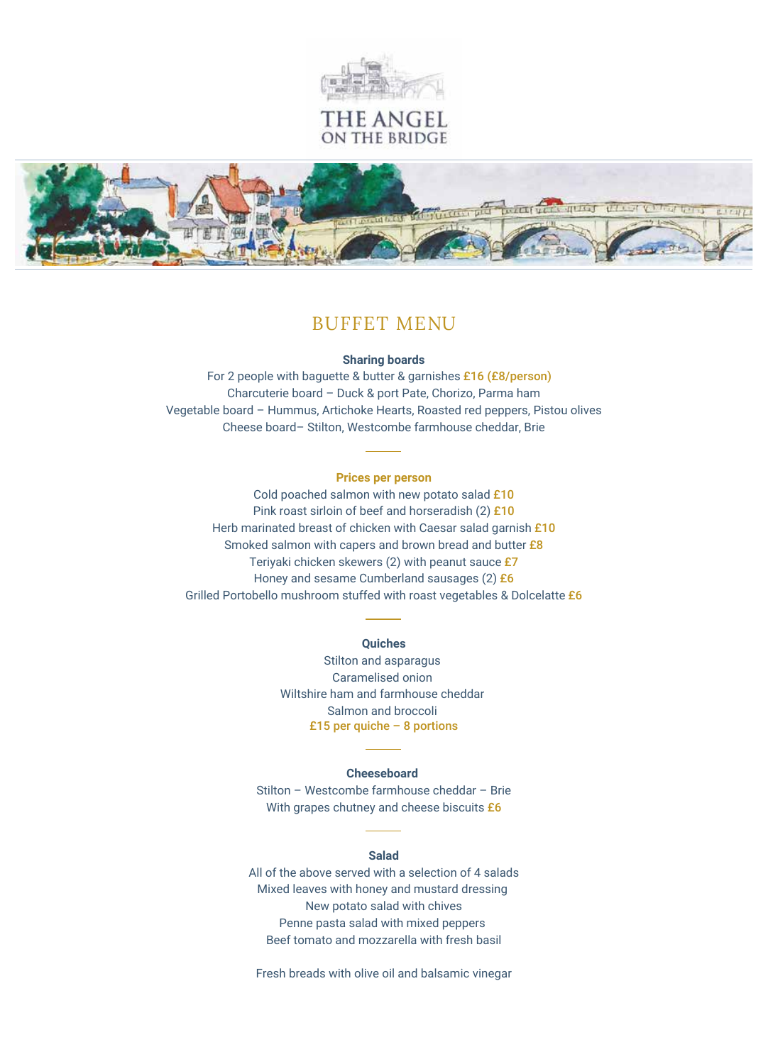

## THE ANGEL ON THE BRIDGE



## BUFFET MENU

#### **Sharing boards**

For 2 people with baguette & butter & garnishes £16 (£8/person) Charcuterie board – Duck & port Pate, Chorizo, Parma ham Vegetable board – Hummus, Artichoke Hearts, Roasted red peppers, Pistou olives Cheese board– Stilton, Westcombe farmhouse cheddar, Brie

#### **Prices per person**

Cold poached salmon with new potato salad £10 Pink roast sirloin of beef and horseradish (2) £10 Herb marinated breast of chicken with Caesar salad garnish £10 Smoked salmon with capers and brown bread and butter £8 Teriyaki chicken skewers (2) with peanut sauce £7 Honey and sesame Cumberland sausages (2) £6 Grilled Portobello mushroom stuffed with roast vegetables & Dolcelatte £6

#### **Quiches**

Stilton and asparagus Caramelised onion Wiltshire ham and farmhouse cheddar Salmon and broccoli £15 per quiche  $-8$  portions

#### **Cheeseboard**

Stilton – Westcombe farmhouse cheddar – Brie With grapes chutney and cheese biscuits  $£6$ 

#### **Salad**

All of the above served with a selection of 4 salads Mixed leaves with honey and mustard dressing New potato salad with chives Penne pasta salad with mixed peppers Beef tomato and mozzarella with fresh basil

Fresh breads with olive oil and balsamic vinegar